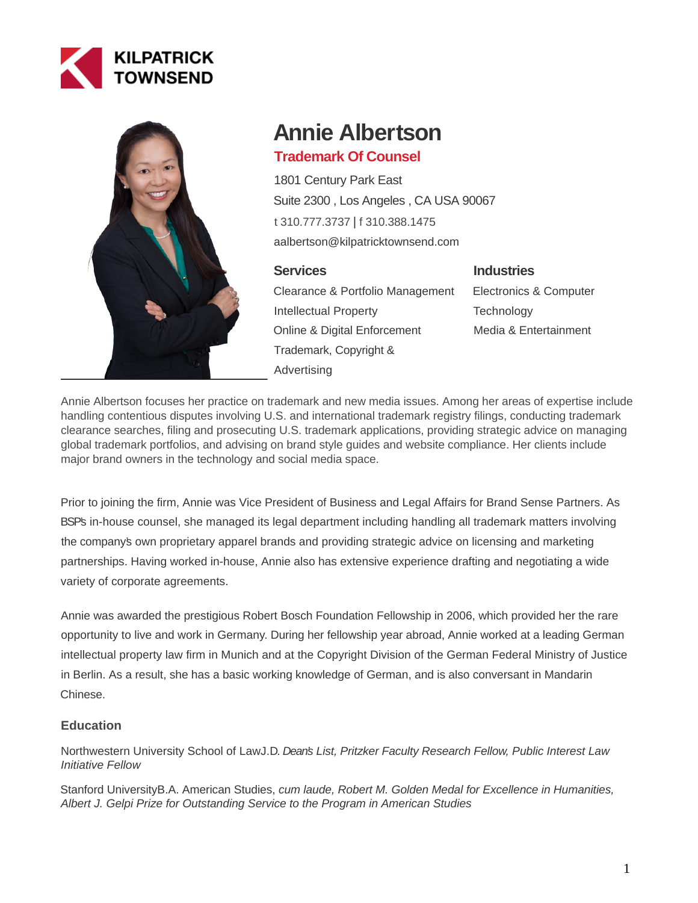



# **Annie Albertson**

# **Trademark Of Counsel**

1801 Century Park East Suite 2300 , Los Angeles , CA USA 90067 [t 310.777.3737](tel:310.777.3737) | [f 310.388.1475](fax:310.388.1475) aalbertson@kilpatricktownsend.com

# **Services**

Clearance & Portfolio Management Intellectual Property Online & Digital Enforcement Trademark, Copyright & Advertising

# **Industries**

Electronics & Computer **Technology** Media & Entertainment

Annie Albertson focuses her practice on trademark and new media issues. Among her areas of expertise include handling contentious disputes involving U.S. and international trademark registry filings, conducting trademark clearance searches, filing and prosecuting U.S. trademark applications, providing strategic advice on managing global trademark portfolios, and advising on brand style guides and website compliance. Her clients include major brand owners in the technology and social media space.

Prior to joining the firm, Annie was Vice President of Business and Legal Affairs for Brand Sense Partners. As BSP's in-house counsel, she managed its legal department including handling all trademark matters involving the company's own proprietary apparel brands and providing strategic advice on licensing and marketing partnerships. Having worked in-house, Annie also has extensive experience drafting and negotiating a wide variety of corporate agreements.

Annie was awarded the prestigious Robert Bosch Foundation Fellowship in 2006, which provided her the rare opportunity to live and work in Germany. During her fellowship year abroad, Annie worked at a leading German intellectual property law firm in Munich and at the Copyright Division of the German Federal Ministry of Justice in Berlin. As a result, she has a basic working knowledge of German, and is also conversant in Mandarin Chinese.

# **Education**

Northwestern University School of LawJ.D. Dean's List, Pritzker Faculty Research Fellow, Public Interest Law Initiative Fellow

Stanford UniversityB.A. American Studies, cum laude, Robert M. Golden Medal for Excellence in Humanities, Albert J. Gelpi Prize for Outstanding Service to the Program in American Studies